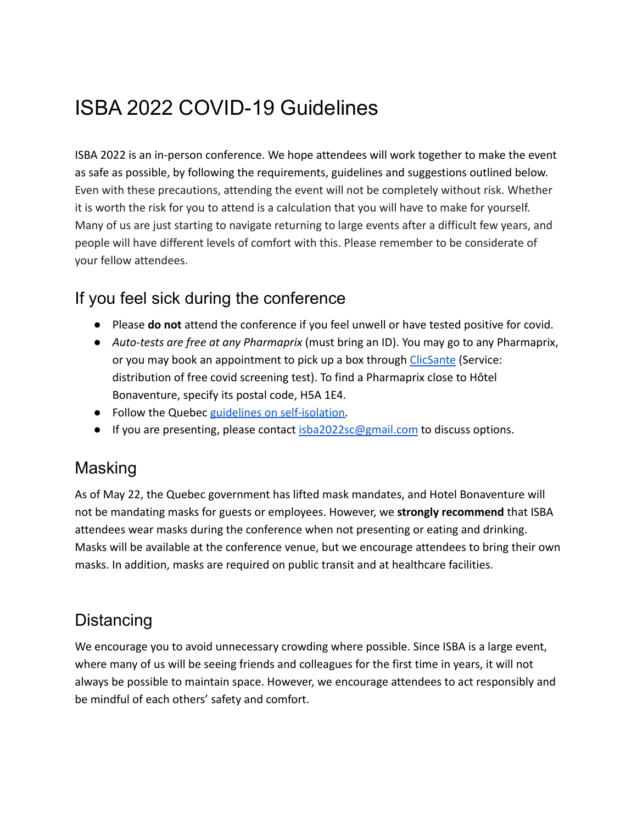# ISBA 2022 COVID-19 Guidelines

ISBA 2022 is an in-person conference. We hope attendees will work together to make the event as safe as possible, by following the requirements, guidelines and suggestions outlined below. Even with these precautions, attending the event will not be completely without risk. Whether it is worth the risk for you to attend is a calculation that you will have to make for yourself. Many of us are just starting to navigate returning to large events after a difficult few years, and people will have different levels of comfort with this. Please remember to be considerate of your fellow attendees.

## If you feel sick during the conference

- Please **do not** attend the conference if you feel unwell or have tested positive for covid.
- *Auto-tests are free at any Pharmaprix* (must bring an ID). You may go to any Pharmaprix, or you may book an appointment to pick up a box through [ClicSante](https://nam12.safelinks.protection.outlook.com/?url=https%3A%2F%2Fportal3.clicsante.ca%2F&data=05%7C01%7C%7Caa4437ab70044c5c7be708da4fe10833%7C31d7e2a5bdd8414e9e97bea998ebdfe1%7C0%7C0%7C637910125180293851%7CUnknown%7CTWFpbGZsb3d8eyJWIjoiMC4wLjAwMDAiLCJQIjoiV2luMzIiLCJBTiI6Ik1haWwiLCJXVCI6Mn0%3D%7C3000%7C%7C%7C&sdata=i67T2otWWi1HYpzbtr7ME%2BItQkqBfnbeqkaLYublFK4%3D&reserved=0) (Service: distribution of free covid screening test). To find a Pharmaprix close to Hôtel Bonaventure, specify its postal code, H5A 1E4.
- Follow the Quebec [guidelines on self-isolation.](https://www.quebec.ca/en/health/health-issues/a-z/2019-coronavirus/self-isolation)
- If you are presenting, please contact [isba2022sc@gmail.com](mailto:isba2022sc@gmail.com) to discuss options.

#### Masking

As of May 22, the Quebec government has lifted mask mandates, and Hotel Bonaventure will not be mandating masks for guests or employees. However, we **strongly recommend** that ISBA attendees wear masks during the conference when not presenting or eating and drinking. Masks will be available at the conference venue, but we encourage attendees to bring their own masks. In addition, masks are required on public transit and at healthcare facilities.

## **Distancing**

We encourage you to avoid unnecessary crowding where possible. Since ISBA is a large event, where many of us will be seeing friends and colleagues for the first time in years, it will not always be possible to maintain space. However, we encourage attendees to act responsibly and be mindful of each others' safety and comfort.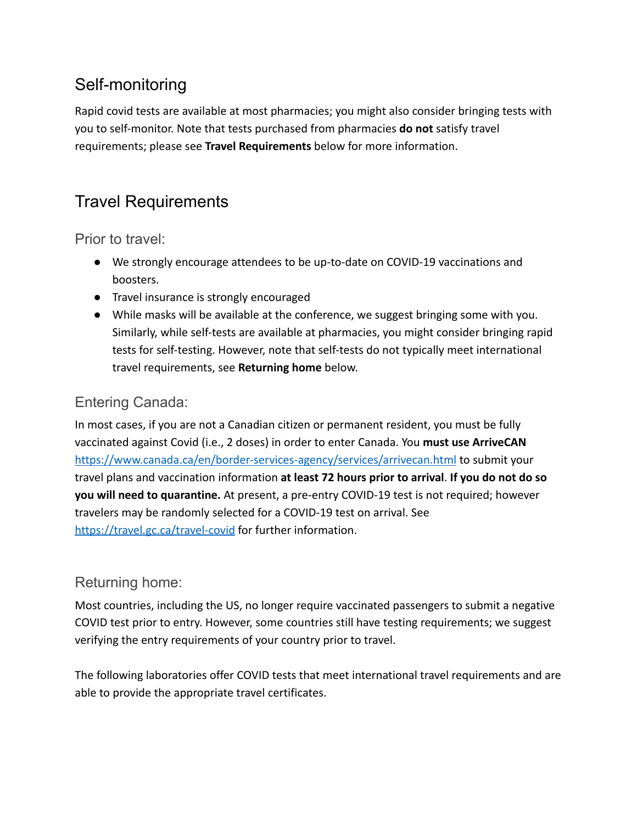# Self-monitoring

Rapid covid tests are available at most pharmacies; you might also consider bringing tests with you to self-monitor. Note that tests purchased from pharmacies **do not** satisfy travel requirements; please see **Travel Requirements** below for more information.

# Travel Requirements

Prior to travel:

- We strongly encourage attendees to be up-to-date on COVID-19 vaccinations and boosters.
- Travel insurance is strongly encouraged
- While masks will be available at the conference, we suggest bringing some with you. Similarly, while self-tests are available at pharmacies, you might consider bringing rapid tests for self-testing. However, note that self-tests do not typically meet international travel requirements, see **Returning home** below.

#### Entering Canada:

In most cases, if you are not a Canadian citizen or permanent resident, you must be fully vaccinated against Covid (i.e., 2 doses) in order to enter Canada. You **must use ArriveCA[N](https://www.canada.ca/en/border-services-agency/services/arrivecan.html)** <https://www.canada.ca/en/border-services-agency/services/arrivecan.html> to submit your travel plans and vaccination information **at least 72 hours prior to arrival**. **If you do not do so you will need to quarantine.** At present, a pre-entry COVID-19 test is not required; however travelers may be randomly selected for a COVID-19 test on arrival. See <https://travel.gc.ca/travel-covid> for further information.

#### Returning home:

Most countries, including the US, no longer require vaccinated passengers to submit a negative COVID test prior to entry. However, some countries still have testing requirements; we suggest verifying the entry requirements of your country prior to travel.

The following laboratories offer COVID tests that meet international travel requirements and are able to provide the appropriate travel certificates.